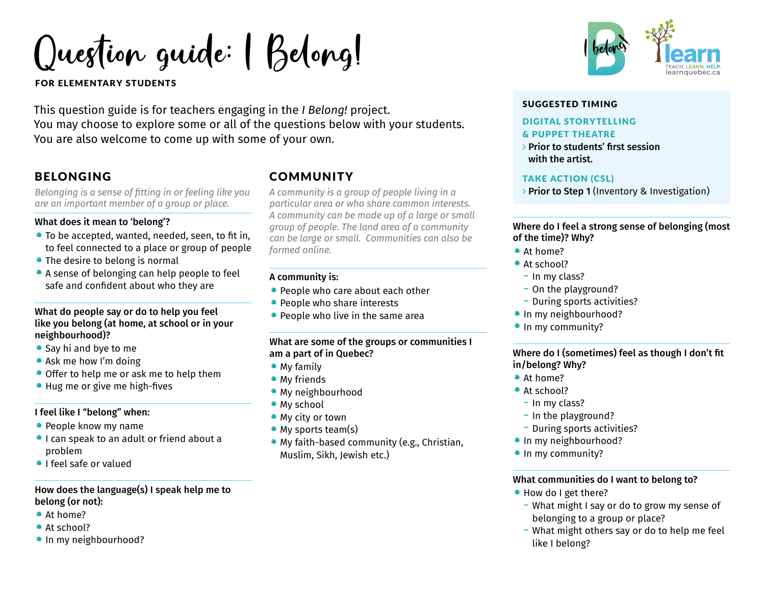Question guide: | Belong!

FOR ELEMENTARY STUDENTS

This question guide is for teachers engaging in the *I Belong!* project. You may choose to explore some or all of the questions below with your students. You are also welcome to come up with some of your own.

# BELONGING

*Belonging is a sense of fitting in or feeling like you are an important member of a group or place.*

#### What does it mean to 'belong'?

- To be accepted, wanted, needed, seen, to fit in, to feel connected to a place or group of people
- The desire to belong is normal
- A sense of belonging can help people to feel safe and confident about who they are

#### What do people say or do to help you feel like you belong (at home, at school or in your neighbourhood)?

- Say hi and bye to me
- Ask me how I'm doing
- Offer to help me or ask me to help them
- Hug me or give me high-fives

# I feel like I "belong" when:

- People know my name
- •I can speak to an adult or friend about a problem
- •I feel safe or valued

# How does the language(s) I speak help me to belong (or not):

- At home?
- At school?
- In my neighbourhood?

# **COMMUNITY**

*A community is a group of people living in a particular area or who share common interests. A community can be made up of a large or small group of people. The land area of a community can be large or small. Communities can also be formed online.* 

# A community is:

- People who care about each other
- People who share interests
- People who live in the same area

# What are some of the groups or communities I am a part of in Quebec?

- My family
- **My friends**
- My neighbourhood
- My school
- My city or town
- My sports team(s)
- My faith-based community (e.g., Christian, Muslim, Sikh, Jewish etc.)



# SUGGESTED TIMING

# DIGITAL STORYTELLING

#### & PUPPET THEATRE

 $\rightarrow$  Prior to students' first session with the artist.

# TAKE ACTION (CSL)

> Prior to Step 1 (Inventory & Investigation)

### Where do I feel a strong sense of belonging (most of the time)? Why?

- At home?
- At school?
- $-$  In my class?
- On the playground?
- During sports activities?
- In my neighbourhood?
- In my community?

# Where do I (sometimes) feel as though I don't fit in/belong? Why?

- At home?
- At school?
	- In my class?
	- In the playground?
	- During sports activities?
- In my neighbourhood?
- In my community?

# What communities do I want to belong to?

- How do I get there?
	- What might I say or do to grow my sense of belonging to a group or place?
	- What might others say or do to help me feel like I belong?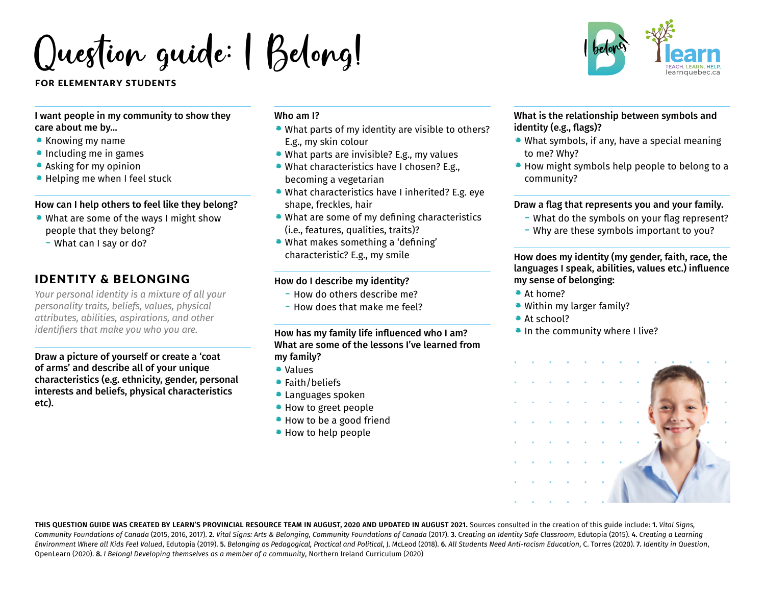Question guide: I Belong!

#### FOR ELEMENTARY STUDENTS

I want people in my community to show they care about me by…

- Knowing my name
- Including me in games
- Asking for my opinion
- Helping me when I feel stuck

#### How can I help others to feel like they belong?

- What are some of the ways I might show people that they belong?
	- What can I say or do?

# IDENTITY & BELONGING

*Your personal identity is a mixture of all your personality traits, beliefs, values, physical attributes, abilities, aspirations, and other identifiers that make you who you are.* 

Draw a picture of yourself or create a 'coat of arms' and describe all of your unique characteristics (e.g. ethnicity, gender, personal interests and beliefs, physical characteristics etc).

# Who am I?

- What parts of my identity are visible to others? E.g., my skin colour
- What parts are invisible? E.g., my values
- What characteristics have I chosen? E.g., becoming a vegetarian
- What characteristics have I inherited? E.g. eye shape, freckles, hair
- What are some of my defining characteristics (i.e., features, qualities, traits)?
- What makes something a 'defining' characteristic? E.g., my smile

#### How do I describe my identity?

- How do others describe me?
- $-$  How does that make me feel?

### How has my family life influenced who I am? What are some of the lessons I've learned from my family?

- Values
- **•** Faith/beliefs
- **Languages spoken**
- How to greet people
- How to be a good friend
- How to help people



#### What is the relationship between symbols and identity (e.g., flags)?

- What symbols, if any, have a special meaning to me? Why?
- How might symbols help people to belong to a community?

#### Draw a flag that represents you and your family.

- What do the symbols on your flag represent?
- Why are these symbols important to you?

How does my identity (my gender, faith, race, the languages I speak, abilities, values etc.) influence my sense of belonging:

- At home?
- Within my larger family?
- At school?
- In the community where I live?



**THIS QUESTION GUIDE WAS CREATED BY LEARN'S PROVINCIAL RESOURCE TEAM IN AUGUST, 2020 AND UPDATED IN AUGUST 2021.** Sources consulted in the creation of this guide include: 1. *Vital Signs,*  Community Foundations of Canada (2015, 2016, 2017). 2. Vital Signs: Arts & Belonging, Community Foundations of Canada (2017). 3. Creating an Identity Safe Classroom, Edutopia (2015). 4. Creating a Learning Environment Where all Kids Feel Valued, Edutopia (2019). 5. Belonging as Pedagogical, Practical and Political, J. McLeod (2018). 6. All Students Need Anti-racism Education. C. Torres (2020). 7. Identity in Ouestion. OpenLearn (2020). 8. *I Belong! Developing themselves as a member of a community*, Northern Ireland Curriculum (2020)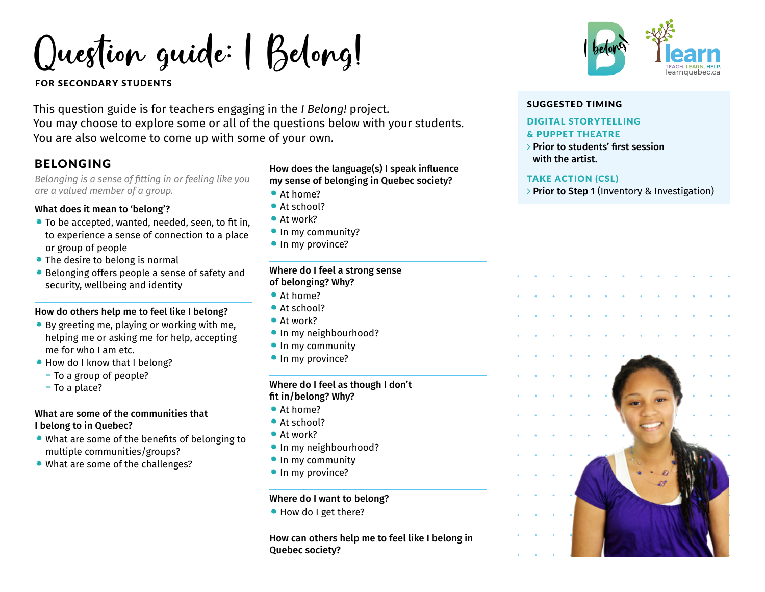Question guide: I Belong!

FOR SECONDARY STUDENTS

This question guide is for teachers engaging in the *I Belong!* project. You may choose to explore some or all of the questions below with your students. You are also welcome to come up with some of your own.

# BELONGING

*Belonging is a sense of fitting in or feeling like you are a valued member of a group.*

#### What does it mean to 'belong'?

- To be accepted, wanted, needed, seen, to fit in, to experience a sense of connection to a place or group of people
- The desire to belong is normal
- Belonging offers people a sense of safety and security, wellbeing and identity

# How do others help me to feel like I belong?

- By greeting me, playing or working with me, helping me or asking me for help, accepting me for who I am etc.
- How do I know that I belong?
	- To a group of people?
	- To a place?

# What are some of the communities that I belong to in Quebec?

- What are some of the benefits of belonging to multiple communities/groups?
- What are some of the challenges?

# How does the language(s) I speak influence my sense of belonging in Quebec society?

- At home?
- At school?
- At work?
- In my community?
- In my province?

#### Where do I feel a strong sense of belonging? Why?

- At home?
- At school?
- At work?
- In my neighbourhood?
- In my community
- In my province?

#### Where do I feel as though I don't fit in/belong? Why?

- At home?
- At school?
- At work?
- In my neighbourhood?
- In my community
- In my province?

# Where do I want to belong?

• How do I get there?

How can others help me to feel like I belong in Quebec society?



# SUGGESTED TIMING

#### DIGITAL STORYTELLING

#### & PUPPET THEATRE

 $\rightarrow$  Prior to students' first session with the artist.

#### TAKE ACTION (CSL)

> Prior to Step 1 (Inventory & Investigation)